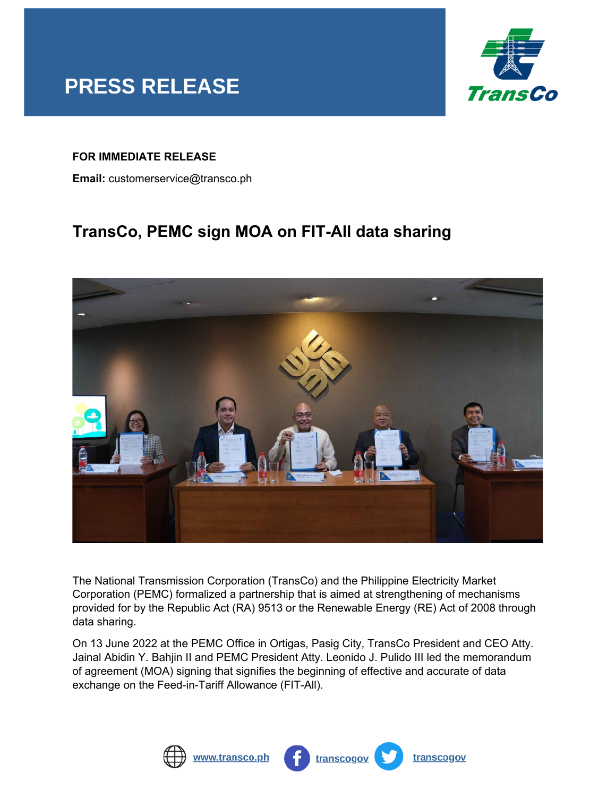



## **FOR IMMEDIATE RELEASE**

**Email:** customerservice@transco.ph

## **TransCo, PEMC sign MOA on FIT-All data sharing**



The National Transmission Corporation (TransCo) and the Philippine Electricity Market Corporation (PEMC) formalized a partnership that is aimed at strengthening of mechanisms provided for by the Republic Act (RA) 9513 or the Renewable Energy (RE) Act of 2008 through data sharing.

On 13 June 2022 at the PEMC Office in Ortigas, Pasig City, TransCo President and CEO Atty. Jainal Abidin Y. Bahjin II and PEMC President Atty. Leonido J. Pulido III led the memorandum of agreement (MOA) signing that signifies the beginning of effective and accurate of data exchange on the Feed-in-Tariff Allowance (FIT-All).